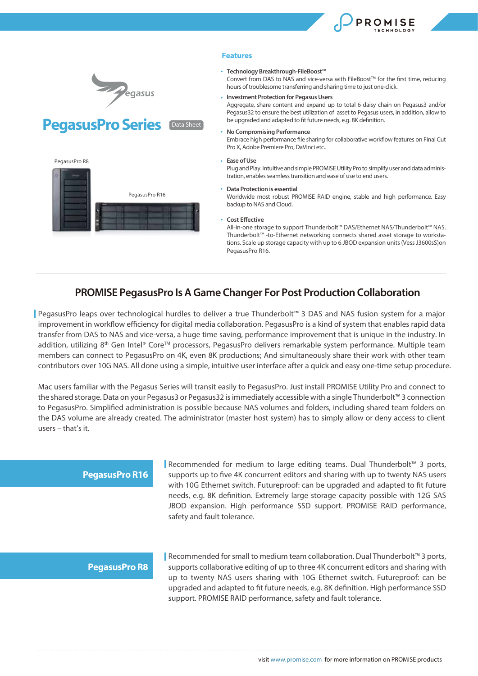







#### **Features**

#### **Technology Breakthrough-FileBoost™**

Convert from DAS to NAS and vice-versa with FileBoost<sup>™</sup> for the first time, reducing hours of troublesome transferring and sharing time to just one-click.

**Investment Protection for Pegasus Users**

Aggregate, share content and expand up to total 6 daisy chain on Pegasus3 and/or Pegasus32 to ensure the best utilization of asset to Pegasus users, in addition, allow to be upgraded and adapted to fit future needs, e.g. 8K definition.

#### **No Compromising Performance**

Embrace high performance file sharing for collaborative workflow features on Final Cut Pro X, Adobe Premiere Pro, DaVinci etc..

#### **Ease of Use**

Plug and Play. Intuitive and simple PROMISE Utility Pro to simplify user and data administration, enables seamless transition and ease of use to end users.

#### **Data Protection is essential**

Worldwide most robust PROMISE RAID engine, stable and high performance. Easy backup to NAS and Cloud.

**Cost Effective** 

All-in-one storage to support Thunderbolt™ DAS/Ethernet NAS/Thunderbolt™ NAS. Thunderbolt™ -to-Ethernet networking connects shared asset storage to workstations. Scale up storage capacity with up to 6 JBOD expansion units (Vess J3600sS)on PegasusPro R16.

# **PROMISE PegasusPro Is A Game Changer For Post Production Collaboration**

PegasusPro leaps over technological hurdles to deliver a true Thunderbolt™ 3 DAS and NAS fusion system for a major improvement in workflow efficiency for digital media collaboration. PegasusPro is a kind of system that enables rapid data transfer from DAS to NAS and vice-versa, a huge time saving, performance improvement that is unique in the industry. In addition, utilizing 8<sup>th</sup> Gen Intel® Core™ processors, PegasusPro delivers remarkable system performance. Multiple team members can connect to PegasusPro on 4K, even 8K productions; And simultaneously share their work with other team contributors over 10G NAS. All done using a simple, intuitive user interface after a quick and easy one-time setup procedure.

Mac users familiar with the Pegasus Series will transit easily to PegasusPro. Just install PROMISE Utility Pro and connect to the shared storage. Data on your Pegasus3 or Pegasus32 is immediately accessible with a single Thunderbolt™ 3 connection to PegasusPro. Simplied administration is possible because NAS volumes and folders, including shared team folders on the DAS volume are already created. The administrator (master host system) has to simply allow or deny access to client users – that's it.

### **PegasusPro R16**

Recommended for medium to large editing teams. Dual Thunderbolt™ 3 ports, supports up to five 4K concurrent editors and sharing with up to twenty NAS users with 10G Ethernet switch. Futureproof: can be upgraded and adapted to fit future needs, e.g. 8K definition. Extremely large storage capacity possible with 12G SAS JBOD expansion. High performance SSD support. PROMISE RAID performance, safety and fault tolerance.

### **PegasusPro R8**

Recommended for small to medium team collaboration. Dual Thunderbolt™ 3 ports, supports collaborative editing of up to three 4K concurrent editors and sharing with up to twenty NAS users sharing with 10G Ethernet switch. Futureproof: can be upgraded and adapted to fit future needs, e.g. 8K definition. High performance SSD support. PROMISE RAID performance, safety and fault tolerance.